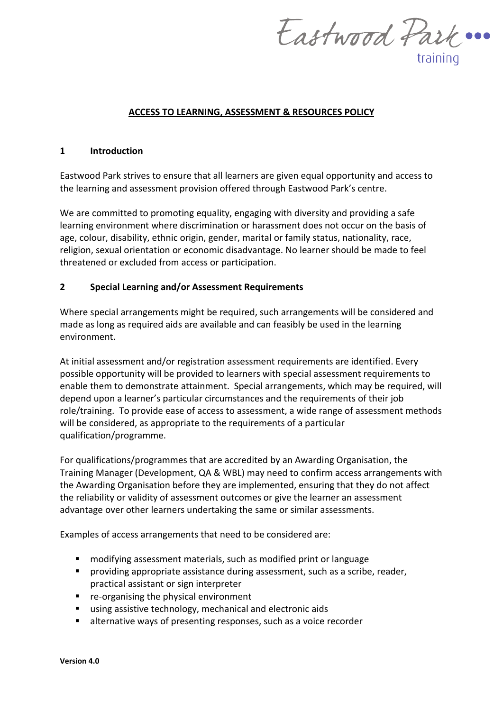Eastwood Park ... training

### **ACCESS TO LEARNING, ASSESSMENT & RESOURCES POLICY**

#### **1 Introduction**

Eastwood Park strives to ensure that all learners are given equal opportunity and access to the learning and assessment provision offered through Eastwood Park's centre.

We are committed to promoting equality, engaging with diversity and providing a safe learning environment where discrimination or harassment does not occur on the basis of age, colour, disability, ethnic origin, gender, marital or family status, nationality, race, religion, sexual orientation or economic disadvantage. No learner should be made to feel threatened or excluded from access or participation.

### **2 Special Learning and/or Assessment Requirements**

Where special arrangements might be required, such arrangements will be considered and made as long as required aids are available and can feasibly be used in the learning environment.

At initial assessment and/or registration assessment requirements are identified. Every possible opportunity will be provided to learners with special assessment requirements to enable them to demonstrate attainment. Special arrangements, which may be required, will depend upon a learner's particular circumstances and the requirements of their job role/training. To provide ease of access to assessment, a wide range of assessment methods will be considered, as appropriate to the requirements of a particular qualification/programme.

For qualifications/programmes that are accredited by an Awarding Organisation, the Training Manager (Development, QA & WBL) may need to confirm access arrangements with the Awarding Organisation before they are implemented, ensuring that they do not affect the reliability or validity of assessment outcomes or give the learner an assessment advantage over other learners undertaking the same or similar assessments.

Examples of access arrangements that need to be considered are:

- **namodifying assessment materials, such as modified print or language**
- **Peroviding appropriate assistance during assessment, such as a scribe, reader,** practical assistant or sign interpreter
- **F** re-organising the physical environment
- using assistive technology, mechanical and electronic aids
- alternative ways of presenting responses, such as a voice recorder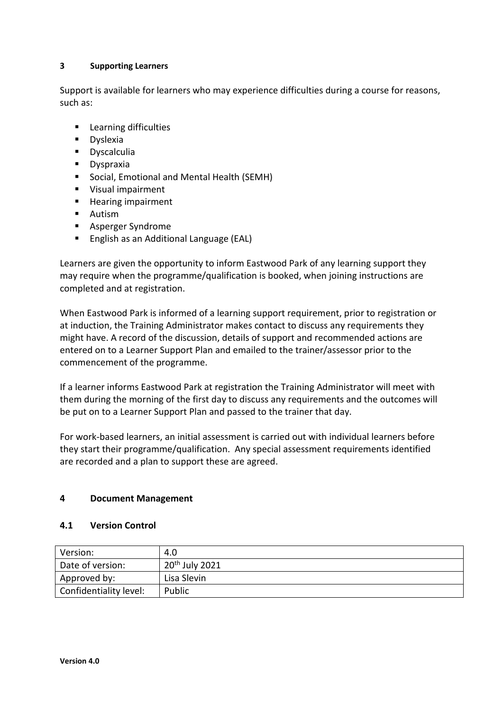## **3 Supporting Learners**

Support is available for learners who may experience difficulties during a course for reasons, such as:

- **Learning difficulties**
- **Dyslexia**
- **Dyscalculia**
- **Dyspraxia**
- **Social, Emotional and Mental Health (SEMH)**
- **Visual impairment**
- **Hearing impairment**
- **Autism**
- **Asperger Syndrome**
- English as an Additional Language (EAL)

Learners are given the opportunity to inform Eastwood Park of any learning support they may require when the programme/qualification is booked, when joining instructions are completed and at registration.

When Eastwood Park is informed of a learning support requirement, prior to registration or at induction, the Training Administrator makes contact to discuss any requirements they might have. A record of the discussion, details of support and recommended actions are entered on to a Learner Support Plan and emailed to the trainer/assessor prior to the commencement of the programme.

If a learner informs Eastwood Park at registration the Training Administrator will meet with them during the morning of the first day to discuss any requirements and the outcomes will be put on to a Learner Support Plan and passed to the trainer that day.

For work-based learners, an initial assessment is carried out with individual learners before they start their programme/qualification. Any special assessment requirements identified are recorded and a plan to support these are agreed.

## **4 Document Management**

### **4.1 Version Control**

| Version:               | 4.0              |
|------------------------|------------------|
| Date of version:       | $20th$ July 2021 |
| Approved by:           | Lisa Slevin      |
| Confidentiality level: | Public           |